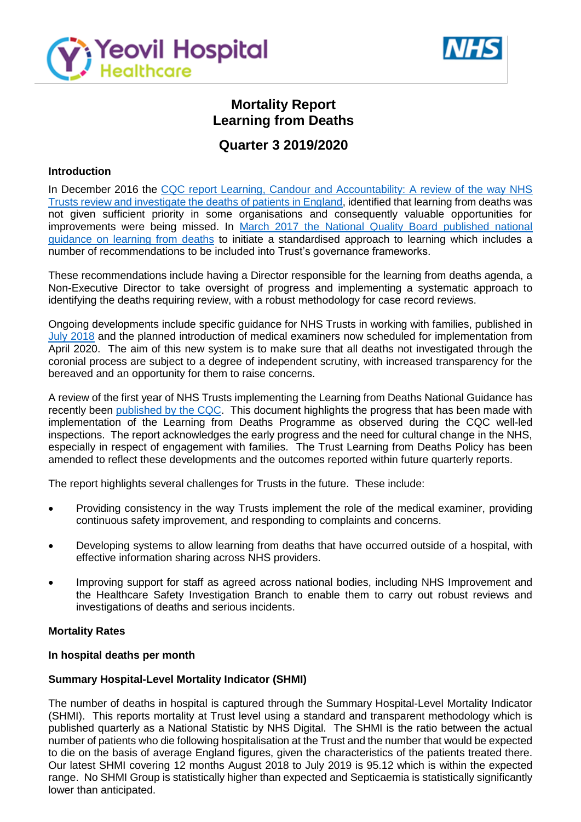



# **Mortality Report Learning from Deaths**

# **Quarter 3 2019/2020**

### **Introduction**

In December 2016 the CQC report Learning, Candour and Accountability: A review of the way NHS [Trusts review and investigate the](https://www.cqc.org.uk/sites/default/files/20161212-learning-candour-accountability-summary.pdf) deaths of patients in England, identified that learning from deaths was not given sufficient priority in some organisations and consequently valuable opportunities for improvements were being missed. In [March 2017 the National Quality Board published national](https://www.england.nhs.uk/wp-content/uploads/2017/03/nqb-national-guidance-learning-from-deaths.pdf)  [guidance on learning from deaths](https://www.england.nhs.uk/wp-content/uploads/2017/03/nqb-national-guidance-learning-from-deaths.pdf) to initiate a standardised approach to learning which includes a number of recommendations to be included into Trust's governance frameworks.

These recommendations include having a Director responsible for the learning from deaths agenda, a Non-Executive Director to take oversight of progress and implementing a systematic approach to identifying the deaths requiring review, with a robust methodology for case record reviews.

Ongoing developments include specific guidance for NHS Trusts in working with families, published in July [2018](https://www.england.nhs.uk/wp-content/uploads/2018/08/learning-from-deaths-working-with-families-v2.pdf) and the planned introduction of medical examiners now scheduled for implementation from April 2020. The aim of this new system is to make sure that all deaths not investigated through the coronial process are subject to a degree of independent scrutiny, with increased transparency for the bereaved and an opportunity for them to raise concerns.

A review of the first year of NHS Trusts implementing the Learning from Deaths National Guidance has recently been [published by the CQC.](https://www.cqc.org.uk/publications/themed-work/learning-deaths) This document highlights the progress that has been made with implementation of the Learning from Deaths Programme as observed during the CQC well-led inspections. The report acknowledges the early progress and the need for cultural change in the NHS, especially in respect of engagement with families. The Trust Learning from Deaths Policy has been amended to reflect these developments and the outcomes reported within future quarterly reports.

The report highlights several challenges for Trusts in the future. These include:

- Providing consistency in the way Trusts implement the role of the medical examiner, providing continuous safety improvement, and responding to complaints and concerns.
- Developing systems to allow learning from deaths that have occurred outside of a hospital, with effective information sharing across NHS providers.
- Improving support for staff as agreed across national bodies, including NHS Improvement and the Healthcare Safety Investigation Branch to enable them to carry out robust reviews and investigations of deaths and serious incidents.

### **Mortality Rates**

### **In hospital deaths per month**

### **Summary Hospital-Level Mortality Indicator (SHMI)**

The number of deaths in hospital is captured through the Summary Hospital-Level Mortality Indicator (SHMI). This reports mortality at Trust level using a standard and transparent methodology which is published quarterly as a National Statistic by NHS Digital. The SHMI is the ratio between the actual number of patients who die following hospitalisation at the Trust and the number that would be expected to die on the basis of average England figures, given the characteristics of the patients treated there. Our latest SHMI covering 12 months August 2018 to July 2019 is 95.12 which is within the expected range. No SHMI Group is statistically higher than expected and Septicaemia is statistically significantly lower than anticipated.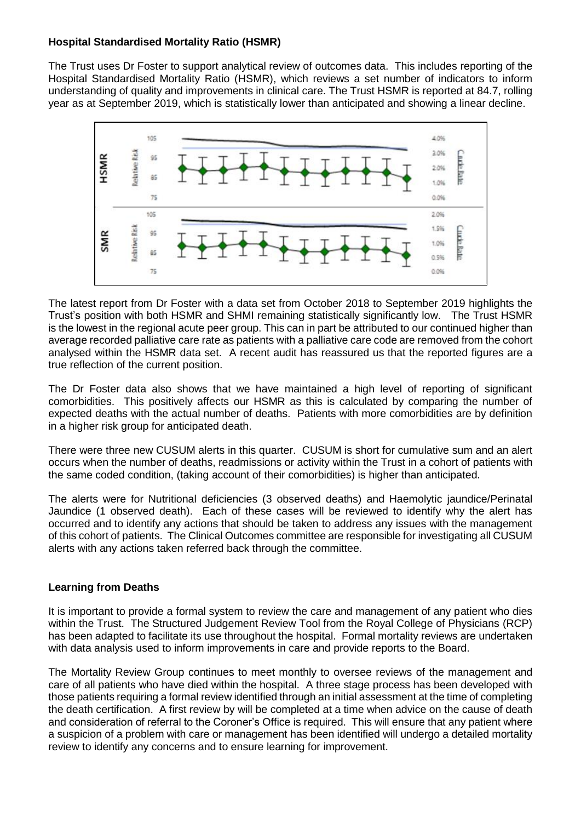### **Hospital Standardised Mortality Ratio (HSMR)**

The Trust uses Dr Foster to support analytical review of outcomes data. This includes reporting of the Hospital Standardised Mortality Ratio (HSMR), which reviews a set number of indicators to inform understanding of quality and improvements in clinical care. The Trust HSMR is reported at 84.7, rolling year as at September 2019, which is statistically lower than anticipated and showing a linear decline.



The latest report from Dr Foster with a data set from October 2018 to September 2019 highlights the Trust's position with both HSMR and SHMI remaining statistically significantly low. The Trust HSMR is the lowest in the regional acute peer group. This can in part be attributed to our continued higher than average recorded palliative care rate as patients with a palliative care code are removed from the cohort analysed within the HSMR data set. A recent audit has reassured us that the reported figures are a true reflection of the current position.

The Dr Foster data also shows that we have maintained a high level of reporting of significant comorbidities. This positively affects our HSMR as this is calculated by comparing the number of expected deaths with the actual number of deaths. Patients with more comorbidities are by definition in a higher risk group for anticipated death.

There were three new CUSUM alerts in this quarter. CUSUM is short for cumulative sum and an alert occurs when the number of deaths, readmissions or activity within the Trust in a cohort of patients with the same coded condition, (taking account of their comorbidities) is higher than anticipated.

The alerts were for Nutritional deficiencies (3 observed deaths) and Haemolytic jaundice/Perinatal Jaundice (1 observed death). Each of these cases will be reviewed to identify why the alert has occurred and to identify any actions that should be taken to address any issues with the management of this cohort of patients. The Clinical Outcomes committee are responsible for investigating all CUSUM alerts with any actions taken referred back through the committee.

# **Learning from Deaths**

It is important to provide a formal system to review the care and management of any patient who dies within the Trust. The Structured Judgement Review Tool from the Royal College of Physicians (RCP) has been adapted to facilitate its use throughout the hospital. Formal mortality reviews are undertaken with data analysis used to inform improvements in care and provide reports to the Board.

The Mortality Review Group continues to meet monthly to oversee reviews of the management and care of all patients who have died within the hospital. A three stage process has been developed with those patients requiring a formal review identified through an initial assessment at the time of completing the death certification. A first review by will be completed at a time when advice on the cause of death and consideration of referral to the Coroner's Office is required. This will ensure that any patient where a suspicion of a problem with care or management has been identified will undergo a detailed mortality review to identify any concerns and to ensure learning for improvement.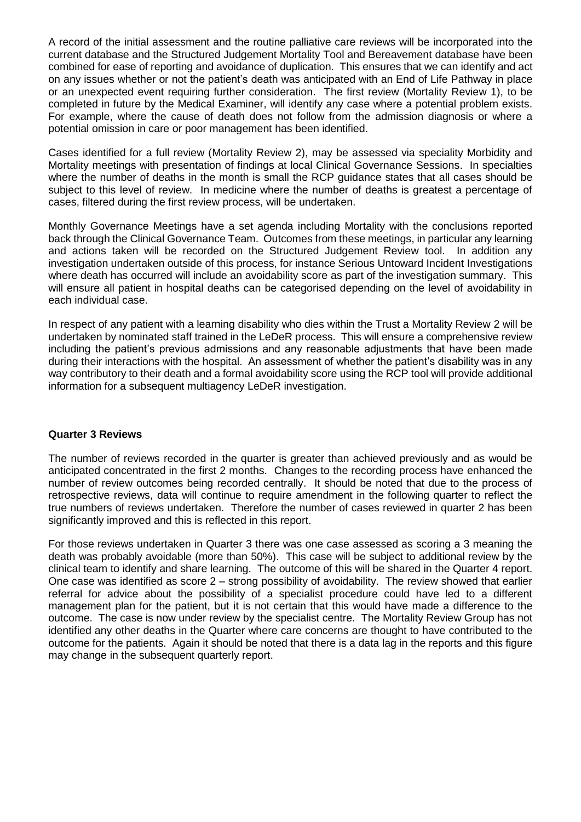A record of the initial assessment and the routine palliative care reviews will be incorporated into the current database and the Structured Judgement Mortality Tool and Bereavement database have been combined for ease of reporting and avoidance of duplication. This ensures that we can identify and act on any issues whether or not the patient's death was anticipated with an End of Life Pathway in place or an unexpected event requiring further consideration. The first review (Mortality Review 1), to be completed in future by the Medical Examiner, will identify any case where a potential problem exists. For example, where the cause of death does not follow from the admission diagnosis or where a potential omission in care or poor management has been identified.

Cases identified for a full review (Mortality Review 2), may be assessed via speciality Morbidity and Mortality meetings with presentation of findings at local Clinical Governance Sessions. In specialties where the number of deaths in the month is small the RCP quidance states that all cases should be subject to this level of review. In medicine where the number of deaths is greatest a percentage of cases, filtered during the first review process, will be undertaken.

Monthly Governance Meetings have a set agenda including Mortality with the conclusions reported back through the Clinical Governance Team. Outcomes from these meetings, in particular any learning and actions taken will be recorded on the Structured Judgement Review tool. In addition any investigation undertaken outside of this process, for instance Serious Untoward Incident Investigations where death has occurred will include an avoidability score as part of the investigation summary. This will ensure all patient in hospital deaths can be categorised depending on the level of avoidability in each individual case.

In respect of any patient with a learning disability who dies within the Trust a Mortality Review 2 will be undertaken by nominated staff trained in the LeDeR process. This will ensure a comprehensive review including the patient's previous admissions and any reasonable adjustments that have been made during their interactions with the hospital. An assessment of whether the patient's disability was in any way contributory to their death and a formal avoidability score using the RCP tool will provide additional information for a subsequent multiagency LeDeR investigation.

# **Quarter 3 Reviews**

The number of reviews recorded in the quarter is greater than achieved previously and as would be anticipated concentrated in the first 2 months. Changes to the recording process have enhanced the number of review outcomes being recorded centrally. It should be noted that due to the process of retrospective reviews, data will continue to require amendment in the following quarter to reflect the true numbers of reviews undertaken. Therefore the number of cases reviewed in quarter 2 has been significantly improved and this is reflected in this report.

For those reviews undertaken in Quarter 3 there was one case assessed as scoring a 3 meaning the death was probably avoidable (more than 50%). This case will be subject to additional review by the clinical team to identify and share learning. The outcome of this will be shared in the Quarter 4 report. One case was identified as score 2 – strong possibility of avoidability. The review showed that earlier referral for advice about the possibility of a specialist procedure could have led to a different management plan for the patient, but it is not certain that this would have made a difference to the outcome. The case is now under review by the specialist centre. The Mortality Review Group has not identified any other deaths in the Quarter where care concerns are thought to have contributed to the outcome for the patients. Again it should be noted that there is a data lag in the reports and this figure may change in the subsequent quarterly report.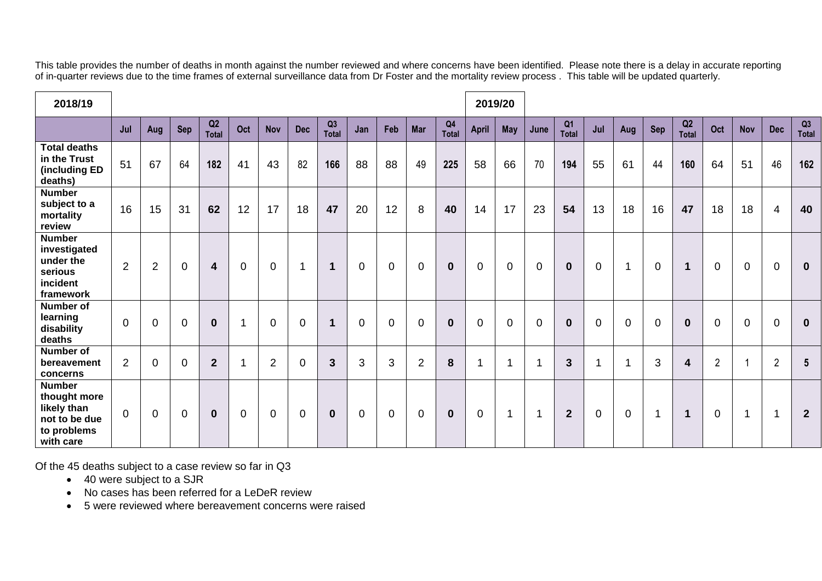This table provides the number of deaths in month against the number reviewed and where concerns have been identified. Please note there is a delay in accurate reporting of in-quarter reviews due to the time frames of external surveillance data from Dr Foster and the mortality review process . This table will be updated quarterly.

| 2018/19                                                                                   |                |                |                |                    |             |             |                |                                |             |                |                |                                |                | 2019/20        |                |                                |                |                |                |                         |                |              |                         |                 |
|-------------------------------------------------------------------------------------------|----------------|----------------|----------------|--------------------|-------------|-------------|----------------|--------------------------------|-------------|----------------|----------------|--------------------------------|----------------|----------------|----------------|--------------------------------|----------------|----------------|----------------|-------------------------|----------------|--------------|-------------------------|-----------------|
|                                                                                           | Jul            | Aug            | <b>Sep</b>     | Q2<br><b>Total</b> | Oct         | <b>Nov</b>  | <b>Dec</b>     | Q <sub>3</sub><br><b>Total</b> | Jan         | Feb            | <b>Mar</b>     | Q <sub>4</sub><br><b>Total</b> | <b>April</b>   | <b>May</b>     | June           | Q <sub>1</sub><br><b>Total</b> | Jul            | Aug            | Sep            | Q2<br><b>Total</b>      | Oct            | <b>Nov</b>   | <b>Dec</b>              | Q3<br>Total     |
| <b>Total deaths</b><br>in the Trust<br>(including ED<br>deaths)                           | 51             | 67             | 64             | 182                | 41          | 43          | 82             | 166                            | 88          | 88             | 49             | 225                            | 58             | 66             | 70             | 194                            | 55             | 61             | 44             | 160                     | 64             | 51           | 46                      | 162             |
| <b>Number</b><br>subject to a<br>mortality<br>review                                      | 16             | 15             | 31             | 62                 | 12          | 17          | 18             | 47                             | 20          | 12             | 8              | 40                             | 14             | 17             | 23             | 54                             | 13             | 18             | 16             | 47                      | 18             | 18           | $\overline{4}$          | 40              |
| <b>Number</b><br>investigated<br>under the<br>serious<br>incident<br>framework            | $\overline{2}$ | $\overline{2}$ | $\overline{0}$ | $\boldsymbol{4}$   | $\mathbf 0$ | $\mathbf 0$ | 1              | $\mathbf 1$                    | $\mathbf 0$ | $\mathbf 0$    | $\overline{0}$ | $\bf{0}$                       | $\mathbf 0$    | $\overline{0}$ | $\mathbf 0$    | $\bf{0}$                       | $\mathbf 0$    | 1              | $\overline{0}$ | $\mathbf 1$             | $\mathbf 0$    | $\mathbf{0}$ | $\mathbf 0$             | $\mathbf 0$     |
| <b>Number of</b><br>learning<br>disability<br>deaths                                      | $\overline{0}$ | $\Omega$       | $\overline{0}$ | $\bf{0}$           |             | $\Omega$    | $\overline{0}$ | $\mathbf 1$                    | $\mathbf 0$ | $\overline{0}$ | $\Omega$       | $\bf{0}$                       | $\mathbf 0$    | $\Omega$       | $\overline{0}$ | $\mathbf 0$                    | $\overline{0}$ | $\overline{0}$ | $\Omega$       | $\mathbf 0$             | $\Omega$       | $\mathbf{0}$ | $\overline{0}$          | $\mathbf{0}$    |
| Number of<br>bereavement<br>concerns                                                      | 2              | $\Omega$       | $\overline{0}$ | $\overline{2}$     |             | 2           | $\Omega$       | $\mathbf{3}$                   | 3           | 3              | 2              | 8                              | $\overline{1}$ | 1              | 1              | $\mathbf{3}$                   | 1              | 1              | 3              | $\overline{\mathbf{4}}$ | $\overline{2}$ |              | $\overline{2}$          | $5\phantom{.0}$ |
| <b>Number</b><br>thought more<br>likely than<br>not to be due<br>to problems<br>with care | $\Omega$       | $\mathbf 0$    | $\mathbf 0$    | $\mathbf 0$        | $\mathbf 0$ | $\mathbf 0$ | $\mathbf 0$    | $\mathbf 0$                    | $\mathbf 0$ | $\pmb{0}$      | $\mathbf 0$    | $\bf{0}$                       | $\pmb{0}$      | $\mathbf{1}$   | 1              | $\overline{2}$                 | $\mathbf 0$    | $\mathbf 0$    | $\mathbf{1}$   | $\mathbf 1$             | $\mathbf 0$    | -1           | $\overline{\mathbf{1}}$ | $\overline{2}$  |

Of the 45 deaths subject to a case review so far in Q3

- 40 were subject to a SJR
- No cases has been referred for a LeDeR review
- 5 were reviewed where bereavement concerns were raised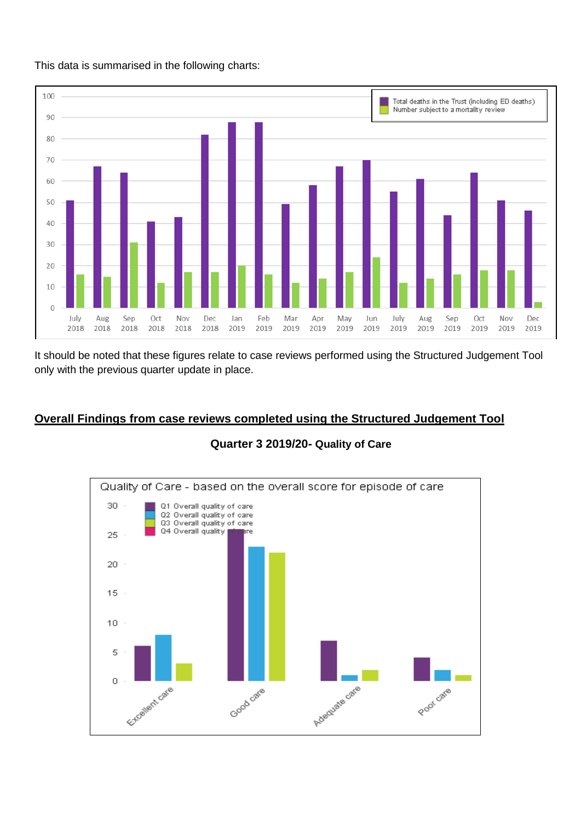



It should be noted that these figures relate to case reviews performed using the Structured Judgement Tool only with the previous quarter update in place.

# **Overall Findings from case reviews completed using the Structured Judgement Tool**



**Quarter 3 2019/20- Quality of Care**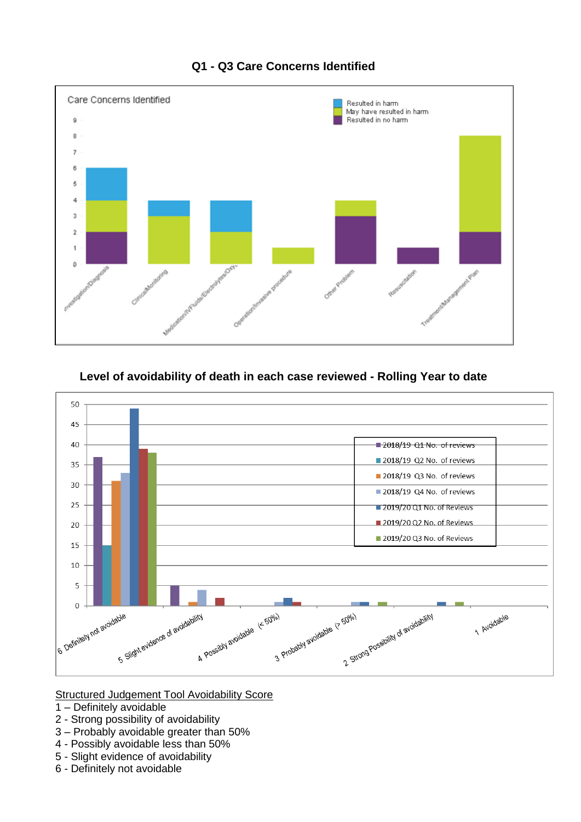

# **Q1 - Q3 Care Concerns Identified**

# **Level of avoidability of death in each case reviewed - Rolling Year to date**



Structured Judgement Tool Avoidability Score

- 1 Definitely avoidable
- 2 Strong possibility of avoidability
- 3 Probably avoidable greater than 50%
- 4 Possibly avoidable less than 50%
- 5 Slight evidence of avoidability
- 6 Definitely not avoidable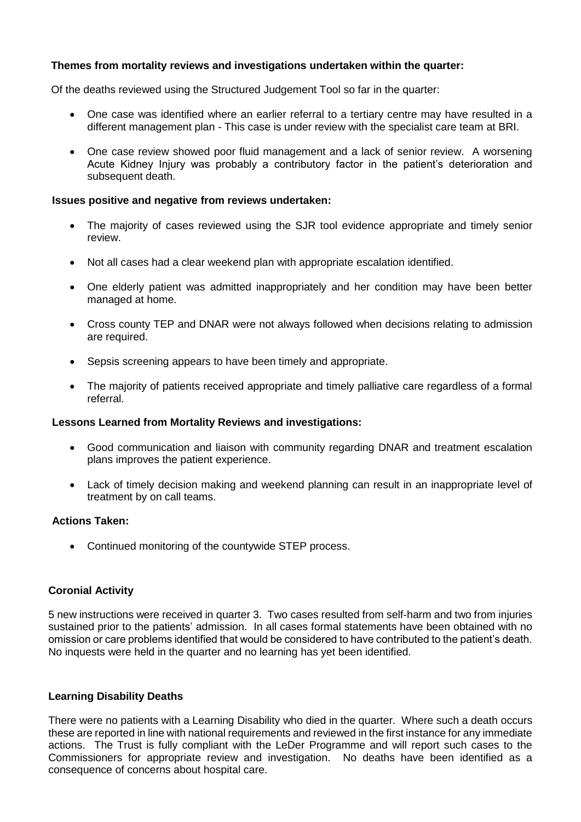# **Themes from mortality reviews and investigations undertaken within the quarter:**

Of the deaths reviewed using the Structured Judgement Tool so far in the quarter:

- One case was identified where an earlier referral to a tertiary centre may have resulted in a different management plan - This case is under review with the specialist care team at BRI.
- One case review showed poor fluid management and a lack of senior review. A worsening Acute Kidney Injury was probably a contributory factor in the patient's deterioration and subsequent death.

### **Issues positive and negative from reviews undertaken:**

- The majority of cases reviewed using the SJR tool evidence appropriate and timely senior review.
- Not all cases had a clear weekend plan with appropriate escalation identified.
- One elderly patient was admitted inappropriately and her condition may have been better managed at home.
- Cross county TEP and DNAR were not always followed when decisions relating to admission are required.
- Sepsis screening appears to have been timely and appropriate.
- The majority of patients received appropriate and timely palliative care regardless of a formal referral.

### **Lessons Learned from Mortality Reviews and investigations:**

- Good communication and liaison with community regarding DNAR and treatment escalation plans improves the patient experience.
- Lack of timely decision making and weekend planning can result in an inappropriate level of treatment by on call teams.

### **Actions Taken:**

Continued monitoring of the countywide STEP process.

# **Coronial Activity**

5 new instructions were received in quarter 3. Two cases resulted from self-harm and two from injuries sustained prior to the patients' admission. In all cases formal statements have been obtained with no omission or care problems identified that would be considered to have contributed to the patient's death. No inquests were held in the quarter and no learning has yet been identified.

# **Learning Disability Deaths**

There were no patients with a Learning Disability who died in the quarter. Where such a death occurs these are reported in line with national requirements and reviewed in the first instance for any immediate actions. The Trust is fully compliant with the LeDer Programme and will report such cases to the Commissioners for appropriate review and investigation. No deaths have been identified as a consequence of concerns about hospital care.